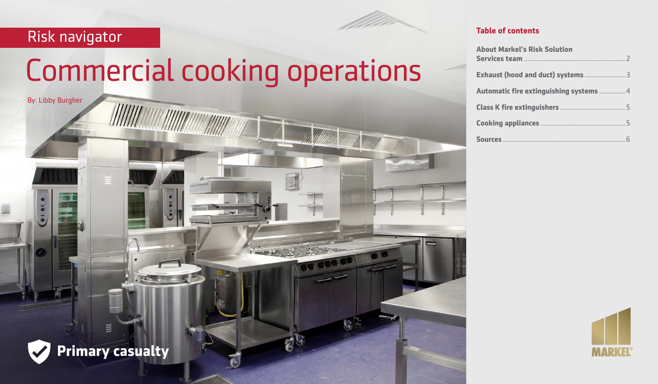# Risk navigator

By: Libby Burgher

# Commercial cooking operations

 $65$ 

 $\overline{c}$ 

**HIIIII ANDER TELEVISION ANDER** 

#### **Table of contents**

| <b>About Markel's Risk Solution</b>    |  |
|----------------------------------------|--|
|                                        |  |
| Automatic fire extinguishing systems 4 |  |
|                                        |  |
|                                        |  |
|                                        |  |





 $\equiv$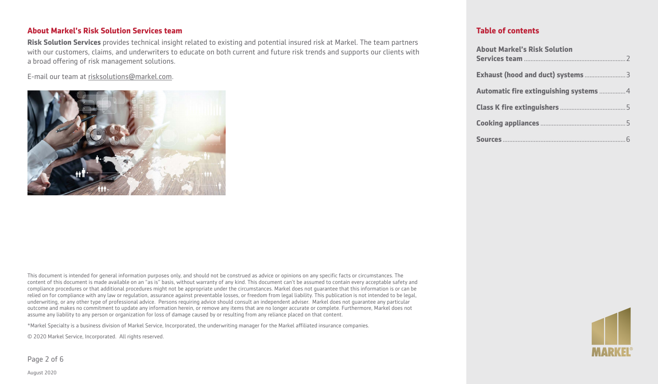#### **About Markel's Risk Solution Services team**

**Risk Solution Services** provides technical insight related to existing and potential insured risk at Markel. The team partners with our customers, claims, and underwriters to educate on both current and future risk trends and supports our clients with a broad offering of risk management solutions.

E-mail our team at [risksolutions@markel.com.](mailto:https://www.nhtsa.gov/equipment/car-seats-and-booster-seats)



This document is intended for general information purposes only, and should not be construed as advice or opinions on any specific facts or circumstances. The content of this document is made available on an "as is" basis, without warranty of any kind. This document can't be assumed to contain every acceptable safety and compliance procedures or that additional procedures might not be appropriate under the circumstances. Markel does not guarantee that this information is or can be relied on for compliance with any law or regulation, assurance against preventable losses, or freedom from legal liability. This publication is not intended to be legal, underwriting, or any other type of professional advice. Persons requiring advice should consult an independent adviser. Markel does not guarantee any particular outcome and makes no commitment to update any information herein, or remove any items that are no longer accurate or complete. Furthermore, Markel does not assume any liability to any person or organization for loss of damage caused by or resulting from any reliance placed on that content.

\*Markel Specialty is a business division of Markel Service, Incorporated, the underwriting manager for the Markel affiliated insurance companies.

© 2020 Markel Service, Incorporated. All rights reserved.

Page 2 of 6



#### **Table of contents**

| <b>About Markel's Risk Solution</b>    |
|----------------------------------------|
|                                        |
| Automatic fire extinguishing systems 4 |
|                                        |
|                                        |
|                                        |

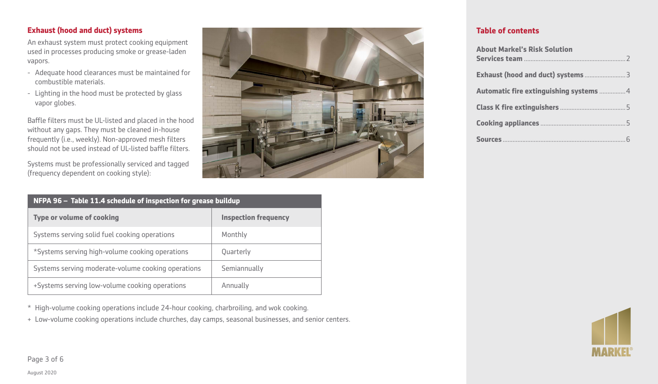# **Exhaust (hood and duct) systems**

An exhaust system must protect cooking equipment used in processes producing smoke or grease-laden vapors.

- Adequate hood clearances must be maintained for combustible materials.
- Lighting in the hood must be protected by glass vapor globes.

Baffle filters must be UL-listed and placed in the hood without any gaps. They must be cleaned in-house frequently (i.e., weekly). Non-approved mesh filters should not be used instead of UL-listed baffle filters.

Systems must be professionally serviced and tagged (frequency dependent on cooking style):



| NFPA 96 - Table 11.4 schedule of inspection for grease buildup |                             |
|----------------------------------------------------------------|-----------------------------|
| <b>Type or volume of cooking</b>                               | <b>Inspection frequency</b> |
| Systems serving solid fuel cooking operations                  | Monthly                     |
| *Systems serving high-volume cooking operations                | Quarterly                   |
| Systems serving moderate-volume cooking operations             | Semiannually                |
| +Systems serving low-volume cooking operations                 | Annually                    |

\* High-volume cooking operations include 24-hour cooking, charbroiling, and wok cooking.

+ Low-volume cooking operations include churches, day camps, seasonal businesses, and senior centers.

# **Table of contents**

| <b>About Markel's Risk Solution</b>    |
|----------------------------------------|
|                                        |
| Automatic fire extinguishing systems 4 |
|                                        |
|                                        |
|                                        |



Page 3 of 6

August 2020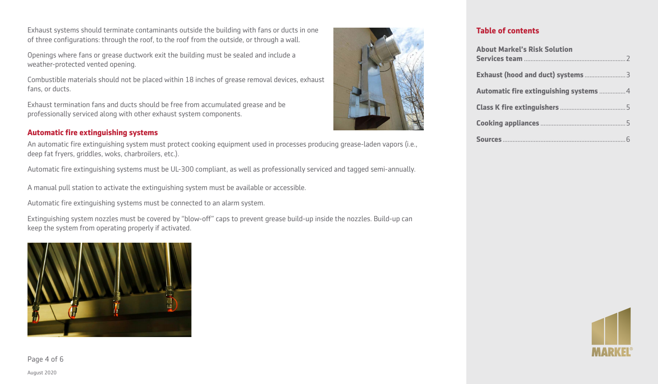Exhaust systems should terminate contaminants outside the building with fans or ducts in one of three configurations: through the roof, to the roof from the outside, or through a wall.

Openings where fans or grease ductwork exit the building must be sealed and include a weather-protected vented opening.

Combustible materials should not be placed within 18 inches of grease removal devices, exhaust fans, or ducts.

Exhaust termination fans and ducts should be free from accumulated grease and be professionally serviced along with other exhaust system components.

#### **Automatic fire extinguishing systems**

An automatic fire extinguishing system must protect cooking equipment used in processes producing grease-laden vapors (i.e., deep fat fryers, griddles, woks, charbroilers, etc.).

Automatic fire extinguishing systems must be UL-300 compliant, as well as professionally serviced and tagged semi-annually.

A manual pull station to activate the extinguishing system must be available or accessible.

Automatic fire extinguishing systems must be connected to an alarm system.

Extinguishing system nozzles must be covered by "blow-off" caps to prevent grease build-up inside the nozzles. Build-up can keep the system from operating properly if activated.





#### **Table of contents**

| <b>About Markel's Risk Solution</b>    |  |
|----------------------------------------|--|
|                                        |  |
| Automatic fire extinguishing systems 4 |  |
|                                        |  |
|                                        |  |
|                                        |  |



Page 4 of 6

August 2020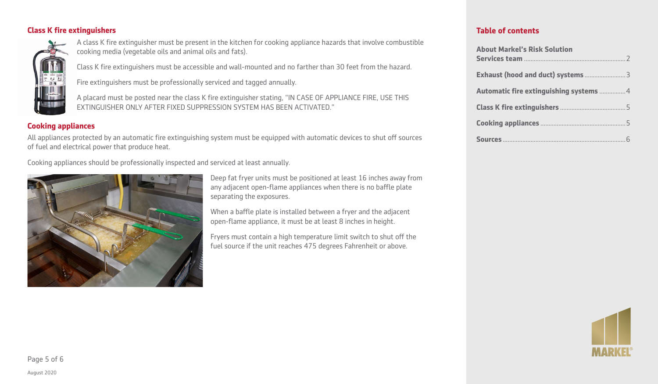#### **Class K fire extinguishers**



A class K fire extinguisher must be present in the kitchen for cooking appliance hazards that involve combustible cooking media (vegetable oils and animal oils and fats).

Class K fire extinguishers must be accessible and wall-mounted and no farther than 30 feet from the hazard.

Fire extinguishers must be professionally serviced and tagged annually.

A placard must be posted near the class K fire extinguisher stating, "IN CASE OF APPLIANCE FIRE, USE THIS EXTINGUISHER ONLY AFTER FIXED SUPPRESSION SYSTEM HAS BEEN ACTIVATED."

### **Cooking appliances**

All appliances protected by an automatic fire extinguishing system must be equipped with automatic devices to shut off sources of fuel and electrical power that produce heat.

Cooking appliances should be professionally inspected and serviced at least annually.



Deep fat fryer units must be positioned at least 16 inches away from any adjacent open-flame appliances when there is no baffle plate separating the exposures.

When a baffle plate is installed between a fryer and the adjacent open-flame appliance, it must be at least 8 inches in height.

Fryers must contain a high temperature limit switch to shut off the fuel source if the unit reaches 475 degrees Fahrenheit or above.

# **Table of contents**

| <b>About Markel's Risk Solution</b>    |  |
|----------------------------------------|--|
|                                        |  |
| Automatic fire extinguishing systems 4 |  |
|                                        |  |
|                                        |  |
|                                        |  |



Page 5 of 6